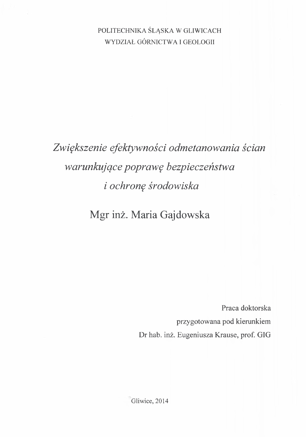## POLITECHNIKA ŚLĄSKA W GLIWICACH WYDZIAŁ GÓRNICTWA I GEOLOGII

## *Zwiększenie efektywności odmetanowania ścian warunkujące poprawę bezpieczeństwa i ochronę środowiska*

## Mgr inż. Maria Gajdowska

Praca doktorska przygotowana pod kierunkiem Dr hab. inż. Eugeniusza Krause, prof. GIG